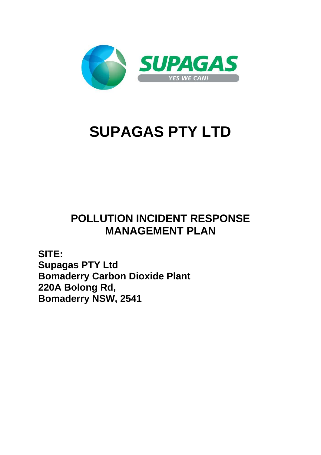

# **SUPAGAS PTY LTD**

## **POLLUTION INCIDENT RESPONSE MANAGEMENT PLAN**

**SITE: Supagas PTY Ltd Bomaderry Carbon Dioxide Plant 220A Bolong Rd, Bomaderry NSW, 2541**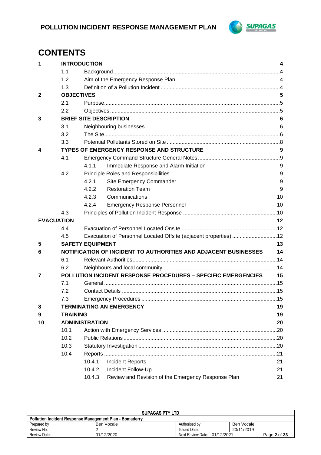

## **CONTENTS**

| 1                 | <b>INTRODUCTION</b> |                                                                      | 4  |
|-------------------|---------------------|----------------------------------------------------------------------|----|
|                   | 1.1                 |                                                                      |    |
|                   | 1.2                 |                                                                      |    |
|                   | 1.3                 |                                                                      |    |
| $\mathbf{2}$      | <b>OBJECTIVES</b>   |                                                                      | 5  |
|                   | 2.1                 |                                                                      |    |
|                   | 2.2                 |                                                                      |    |
| 3                 |                     | <b>BRIEF SITE DESCRIPTION</b>                                        | 6  |
|                   | 3.1                 |                                                                      |    |
|                   | 3.2                 |                                                                      |    |
|                   | 3.3                 |                                                                      |    |
| 4                 |                     | TYPES OF EMERGENCY RESPONSE AND STRUCTURE                            | 9  |
|                   | 4.1                 |                                                                      |    |
|                   |                     | 4.1.1<br>Immediate Response and Alarm Initiation                     | 9  |
|                   | 4.2                 |                                                                      |    |
|                   |                     | 4.2.1<br>Site Emergency Commander                                    | 9  |
|                   |                     | 4.2.2<br><b>Restoration Team</b>                                     | 9  |
|                   |                     | 4.2.3<br>Communications                                              | 10 |
|                   |                     | 4.2.4<br><b>Emergency Response Personnel</b>                         | 10 |
|                   | 4.3                 |                                                                      |    |
| <b>EVACUATION</b> |                     |                                                                      | 12 |
|                   | 4.4                 |                                                                      |    |
|                   | 4.5                 | Evacuation of Personnel Located Offsite (adjacent properties) 12     |    |
| 5                 |                     | <b>SAFETY EQUIPMENT</b>                                              | 13 |
| 6                 |                     | NOTIFICATION OF INCIDENT TO AUTHORITIES AND ADJACENT BUSINESSES      | 14 |
|                   | 6.1                 |                                                                      |    |
|                   | 6.2                 |                                                                      |    |
| 7                 |                     | <b>POLLUTION INCIDENT RESPONSE PROCEDURES - SPECIFIC EMERGENCIES</b> | 15 |
|                   | 7.1                 |                                                                      |    |
|                   | 7.2                 |                                                                      |    |
|                   | 7.3                 |                                                                      |    |
| 8                 |                     | <b>TERMINATING AN EMERGENCY</b>                                      | 19 |
| 9                 | <b>TRAINING</b>     |                                                                      | 19 |
| 10                |                     | <b>ADMINISTRATION</b>                                                | 20 |
|                   | 10.1                |                                                                      |    |
|                   | 10.2                |                                                                      |    |
|                   | 10.3                |                                                                      |    |
|                   | 10.4                |                                                                      |    |
|                   |                     | <b>Incident Reports</b><br>10.4.1                                    | 21 |
|                   |                     | Incident Follow-Up<br>10.4.2                                         | 21 |
|                   |                     | Review and Revision of the Emergency Response Plan<br>10.4.3         | 21 |

| <b>SUPAGAS PTY LTD</b>                                                     |            |                     |            |  |  |  |
|----------------------------------------------------------------------------|------------|---------------------|------------|--|--|--|
| <b>Pollution Incident Response Management Plan - Bomaderry</b>             |            |                     |            |  |  |  |
| Prepared by                                                                | Ben Vocale | Authorised by       | Ben Vocale |  |  |  |
| Review No:                                                                 |            | <b>Issued Date:</b> | 20/11/2019 |  |  |  |
| Next Review Date: 01/12/2021<br>01/12/2020<br>Review Date:<br>Page 2 of 23 |            |                     |            |  |  |  |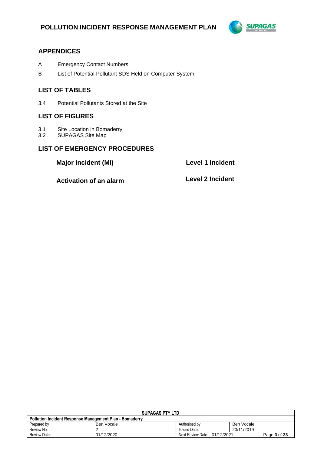

#### **APPENDICES**

- A Emergency Contact Numbers
- B List of Potential Pollutant SDS Held on Computer System

#### **LIST OF TABLES**

3.4 Potential Pollutants Stored at the Site

#### **LIST OF FIGURES**

- 3.1 Site Location in Bomaderry<br>3.2 SUPAGAS Site Map
- SUPAGAS Site Map

#### **LIST OF EMERGENCY PROCEDURES**

**Major Incident (MI) Level 1 Incident**

**Activation of an alarm Level 2 Incident**

| <b>SUPAGAS PTY LTD</b>                                         |            |                              |              |  |  |
|----------------------------------------------------------------|------------|------------------------------|--------------|--|--|
| <b>Pollution Incident Response Management Plan - Bomaderry</b> |            |                              |              |  |  |
| Prepared by                                                    | Ben Vocale | Authorised by                | Ben Vocale   |  |  |
| Review No:                                                     |            | <b>Issued Date:</b>          | 20/11/2019   |  |  |
| Review Date:                                                   | 01/12/2020 | Next Review Date: 01/12/2021 | Page 3 of 23 |  |  |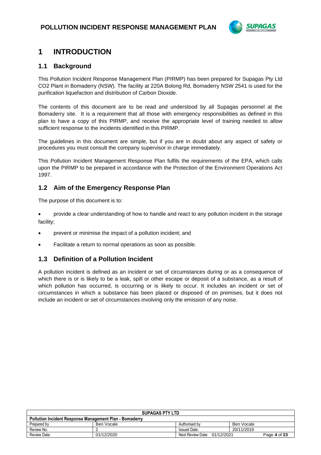

## **1 INTRODUCTION**

#### **1.1 Background**

This Pollution Incident Response Management Plan (PIRMP) has been prepared for Supagas Pty Ltd CO2 Plant in Bomaderry (NSW). The facility at 220A Bolong Rd, Bomaderry NSW 2541 is used for the purification liquefaction and distribution of Carbon Dioxide.

The contents of this document are to be read and understood by all Supagas personnel at the Bomaderry site. It is a requirement that all those with emergency responsibilities as defined in this plan to have a copy of this PIRMP, and receive the appropriate level of training needed to allow sufficient response to the incidents identified in this PIRMP.

The guidelines in this document are simple, but if you are in doubt about any aspect of safety or procedures you must consult the company supervisor in charge immediately.

This Pollution Incident Management Response Plan fulfils the requirements of the EPA, which calls upon the PIRMP to be prepared in accordance with the Protection of the Environment Operations Act 1997.

#### **1.2 Aim of the Emergency Response Plan**

The purpose of this document is to:

• provide a clear understanding of how to handle and react to any pollution incident in the storage facility;

- prevent or minimise the impact of a pollution incident; and
- Facilitate a return to normal operations as soon as possible.

#### **1.3 Definition of a Pollution Incident**

A pollution incident is defined as an incident or set of circumstances during or as a consequence of which there is or is likely to be a leak, spill or other escape or deposit of a substance, as a result of which pollution has occurred, is occurring or is likely to occur. It includes an incident or set of circumstances in which a substance has been placed or disposed of on premises, but it does not include an incident or set of circumstances involving only the emission of any noise.

| <b>SUPAGAS PTY LTD</b>                                                     |            |                     |            |  |  |
|----------------------------------------------------------------------------|------------|---------------------|------------|--|--|
| <b>Pollution Incident Response Management Plan - Bomaderry</b>             |            |                     |            |  |  |
| Prepared by                                                                | Ben Vocale | Authorised by       | Ben Vocale |  |  |
| Review No:                                                                 |            | <b>Issued Date:</b> | 20/11/2019 |  |  |
| 01/12/2020<br>Next Review Date: 01/12/2021<br>Review Date:<br>Page 4 of 23 |            |                     |            |  |  |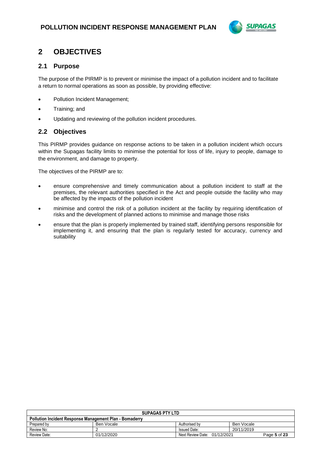

## **2 OBJECTIVES**

#### **2.1 Purpose**

The purpose of the PIRMP is to prevent or minimise the impact of a pollution incident and to facilitate a return to normal operations as soon as possible, by providing effective:

- Pollution Incident Management;
- Training; and
- Updating and reviewing of the pollution incident procedures.

#### **2.2 Objectives**

This PIRMP provides guidance on response actions to be taken in a pollution incident which occurs within the Supagas facility limits to minimise the potential for loss of life, injury to people, damage to the environment, and damage to property.

The objectives of the PIRMP are to:

- ensure comprehensive and timely communication about a pollution incident to staff at the premises, the relevant authorities specified in the Act and people outside the facility who may be affected by the impacts of the pollution incident
- minimise and control the risk of a pollution incident at the facility by requiring identification of risks and the development of planned actions to minimise and manage those risks
- ensure that the plan is properly implemented by trained staff, identifying persons responsible for implementing it, and ensuring that the plan is regularly tested for accuracy, currency and suitability

| <b>SUPAGAS PTY LTD</b>                                                     |            |                     |            |  |  |
|----------------------------------------------------------------------------|------------|---------------------|------------|--|--|
| <b>Pollution Incident Response Management Plan - Bomaderry</b>             |            |                     |            |  |  |
| Prepared by                                                                | Ben Vocale | Authorised by       | Ben Vocale |  |  |
| Review No:                                                                 |            | <b>Issued Date:</b> | 20/11/2019 |  |  |
| 01/12/2020<br>Review Date:<br>Next Review Date: 01/12/2021<br>Page 5 of 23 |            |                     |            |  |  |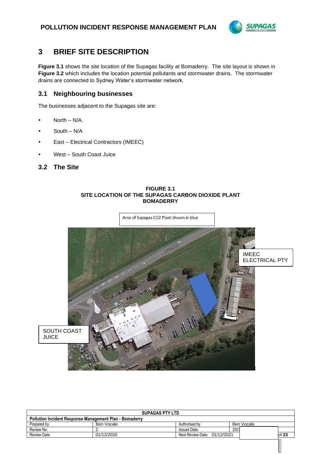

 $\mathbb{I}$ 

## **3 BRIEF SITE DESCRIPTION**

**Figure 3.1** shows the site location of the Supagas facility at Bomaderry. The site layout is shown in **Figure 3.2** which includes the location potential pollutants and stormwater drains. The stormwater drains are connected to Sydney Water's stormwater network.

#### **3.1 Neighbouring businesses**

The businesses adjacent to the Supagas site are:

- North N/A.
- South N/A
- East Electrical Contractors (IMEEC)
- West South Coast Juice

#### **3.2 The Site**

#### **FIGURE 3.1 SITE LOCATION OF THE SUPAGAS CARBON DIOXIDE PLANT BOMADERRY**



| <b>SUPAGAS PTY LTD</b>                                         |            |                              |      |            |                 |
|----------------------------------------------------------------|------------|------------------------------|------|------------|-----------------|
| <b>Pollution Incident Response Management Plan - Bomaderry</b> |            |                              |      |            |                 |
| Prepared by                                                    | Ben Vocale | Authorised by                |      | Ben Vocale |                 |
| Review No:                                                     |            | <b>Issued Date:</b>          | 20/1 |            |                 |
| Review Date:                                                   | 01/12/2020 | Next Review Date: 01/12/2021 |      |            | $\mathsf{I}$ 23 |
|                                                                |            |                              |      |            |                 |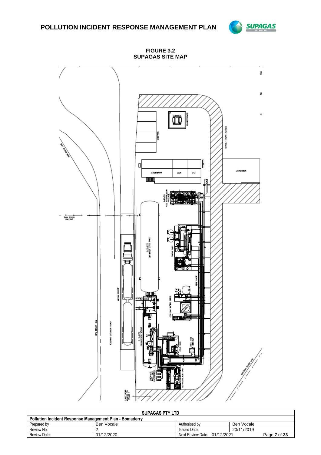### **POLLUTION INCIDENT RESPONSE MANAGEMENT PLAN**



**FIGURE 3.2 SUPAGAS SITE MAP**



| <b>SUPAGAS PTY LTD</b>                                                     |            |                     |            |  |  |
|----------------------------------------------------------------------------|------------|---------------------|------------|--|--|
| <b>Pollution Incident Response Management Plan - Bomaderry</b>             |            |                     |            |  |  |
| Prepared by                                                                | Ben Vocale | Authorised by       | Ben Vocale |  |  |
| Review No:                                                                 |            | <b>Issued Date:</b> | 20/11/2019 |  |  |
| 01/12/2020<br>Next Review Date: 01/12/2021<br>Review Date:<br>Page 7 of 23 |            |                     |            |  |  |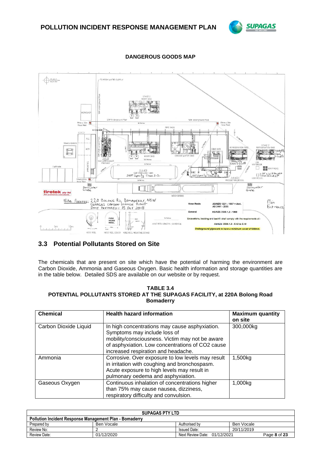



#### **DANGEROUS GOODS MAP**

### **3.3 Potential Pollutants Stored on Site**

The chemicals that are present on site which have the potential of harming the environment are Carbon Dioxide, Ammonia and Gaseous Oxygen. Basic health information and storage quantities are in the table below. Detailed SDS are available on our website or by request.

#### **TABLE 3.4 POTENTIAL POLLUTANTS STORED AT THE SUPAGAS FACILITY, at 220A Bolong Road Bomaderry**

| <b>Chemical</b>       | <b>Health hazard information</b>                                                                                                                                                                                             | <b>Maximum quantity</b><br>on site |
|-----------------------|------------------------------------------------------------------------------------------------------------------------------------------------------------------------------------------------------------------------------|------------------------------------|
| Carbon Dioxide Liquid | In high concentrations may cause asphyxiation.<br>Symptoms may include loss of<br>mobility/consciousness. Victim may not be aware<br>of asphyxiation. Low concentrations of CO2 cause<br>increased respiration and headache. | 300,000kg                          |
| Ammonia               | Corrosive. Over exposure to low levels may result<br>in irritation with coughing and bronchospasm.<br>Acute exposure to high levels may result in<br>pulmonary oedema and asphyxiation.                                      | 1,500kg                            |
| Gaseous Oxygen        | Continuous inhalation of concentrations higher<br>than 75% may cause nausea, dizziness,<br>respiratory difficulty and convulsion.                                                                                            | 1,000kg                            |

| <b>SUPAGAS PTY LTD</b>                                         |            |                              |              |  |  |
|----------------------------------------------------------------|------------|------------------------------|--------------|--|--|
| <b>Pollution Incident Response Management Plan - Bomaderry</b> |            |                              |              |  |  |
| Prepared by                                                    | Ben Vocale | Authorised by                | Ben Vocale   |  |  |
| Review No:                                                     |            | <b>Issued Date:</b>          | 20/11/2019   |  |  |
| Review Date:                                                   | 01/12/2020 | Next Review Date: 01/12/2021 | Page 8 of 23 |  |  |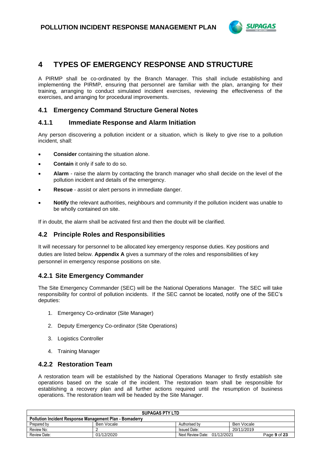

## **4 TYPES OF EMERGENCY RESPONSE AND STRUCTURE**

A PIRMP shall be co-ordinated by the Branch Manager. This shall include establishing and implementing the PIRMP, ensuring that personnel are familiar with the plan, arranging for their training, arranging to conduct simulated incident exercises, reviewing the effectiveness of the exercises, and arranging for procedural improvements.

#### **4.1 Emergency Command Structure General Notes**

#### **4.1.1 Immediate Response and Alarm Initiation**

Any person discovering a pollution incident or a situation, which is likely to give rise to a pollution incident, shall:

- **Consider** containing the situation alone.
- **Contain** it only if safe to do so.
- **Alarm** raise the alarm by contacting the branch manager who shall decide on the level of the pollution incident and details of the emergency.
- **Rescue**  assist or alert persons in immediate danger.
- **Notify** the relevant authorities, neighbours and community if the pollution incident was unable to be wholly contained on site.

If in doubt, the alarm shall be activated first and then the doubt will be clarified.

#### **4.2 Principle Roles and Responsibilities**

It will necessary for personnel to be allocated key emergency response duties. Key positions and duties are listed below. **Appendix A** gives a summary of the roles and responsibilities of key personnel in emergency response positions on site.

#### **4.2.1 Site Emergency Commander**

The Site Emergency Commander (SEC) will be the National Operations Manager. The SEC will take responsibility for control of pollution incidents. If the SEC cannot be located, notify one of the SEC's deputies:

- 1. Emergency Co-ordinator (Site Manager)
- 2. Deputy Emergency Co-ordinator (Site Operations)
- 3. Logistics Controller
- 4. Training Manager

#### **4.2.2 Restoration Team**

A restoration team will be established by the National Operations Manager to firstly establish site operations based on the scale of the incident. The restoration team shall be responsible for establishing a recovery plan and all further actions required until the resumption of business operations. The restoration team will be headed by the Site Manager.

| <b>SUPAGAS PTY LTD</b>                                         |            |                              |              |  |  |
|----------------------------------------------------------------|------------|------------------------------|--------------|--|--|
| <b>Pollution Incident Response Management Plan - Bomaderry</b> |            |                              |              |  |  |
| Prepared by                                                    | Ben Vocale | Authorised by                | Ben Vocale   |  |  |
| Review No:                                                     |            | <b>Issued Date:</b>          | 20/11/2019   |  |  |
| Review Date:                                                   | 01/12/2020 | Next Review Date: 01/12/2021 | Page 9 of 23 |  |  |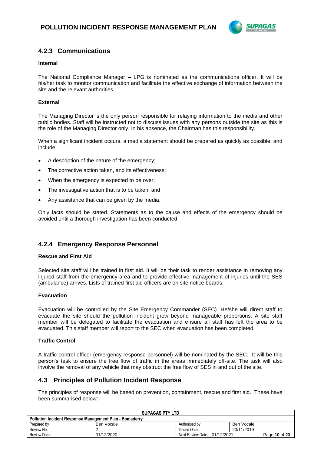

#### **4.2.3 Communications**

#### **Internal**

The National Compliance Manager – LPG is nominated as the communications officer. It will be his/her task to monitor communication and facilitate the effective exchange of information between the site and the relevant authorities.

#### **External**

The Managing Director is the only person responsible for relaying information to the media and other public bodies. Staff will be instructed not to discuss issues with any persons outside the site as this is the role of the Managing Director only. In his absence, the Chairman has this responsibility.

When a significant incident occurs, a media statement should be prepared as quickly as possible, and include:

- A description of the nature of the emergency;
- The corrective action taken, and its effectiveness;
- When the emergency is expected to be over;
- The investigative action that is to be taken; and
- Any assistance that can be given by the media.

Only facts should be stated. Statements as to the cause and effects of the emergency should be avoided until a thorough investigation has been conducted.

#### **4.2.4 Emergency Response Personnel**

#### **Rescue and First Aid**

Selected site staff will be trained in first aid. It will be their task to render assistance in removing any injured staff from the emergency area and to provide effective management of injuries until the SES (ambulance) arrives. Lists of trained first aid officers are on site notice boards.

#### **Evacuation**

Evacuation will be controlled by the Site Emergency Commander (SEC). He/she will direct staff to evacuate the site should the pollution incident grow beyond manageable proportions. A site staff member will be delegated to facilitate the evacuation and ensure all staff has left the area to be evacuated. This staff member will report to the SEC when evacuation has been completed.

#### **Traffic Control**

A traffic control officer (emergency response personnel) will be nominated by the SEC. It will be this person's task to ensure the free flow of traffic in the areas immediately off-site. The task will also involve the removal of any vehicle that may obstruct the free flow of SES in and out of the site.

#### **4.3 Principles of Pollution Incident Response**

The principles of response will be based on prevention, containment, rescue and first aid. These have been summarised below:

| <b>SUPAGAS PTY LTD</b>                                                      |            |                     |            |  |  |
|-----------------------------------------------------------------------------|------------|---------------------|------------|--|--|
| <b>Pollution Incident Response Management Plan - Bomaderry</b>              |            |                     |            |  |  |
| Prepared by                                                                 | Ben Vocale | Authorised by       | Ben Vocale |  |  |
| Review No:                                                                  |            | <b>Issued Date:</b> | 20/11/2019 |  |  |
| 01/12/2020<br>Next Review Date: 01/12/2021<br>Review Date:<br>Page 10 of 23 |            |                     |            |  |  |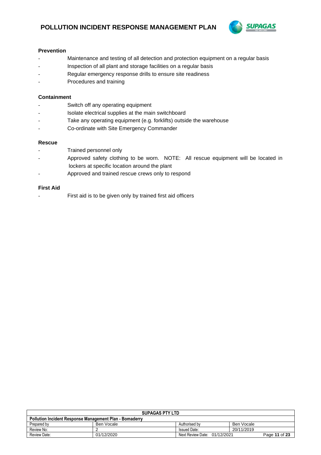

#### **Prevention**

- Maintenance and testing of all detection and protection equipment on a regular basis
- Inspection of all plant and storage facilities on a regular basis
- Regular emergency response drills to ensure site readiness
- Procedures and training

#### **Containment**

- Switch off any operating equipment
- Isolate electrical supplies at the main switchboard
- Take any operating equipment (e.g. forklifts) outside the warehouse
- Co-ordinate with Site Emergency Commander

#### **Rescue**

- Trained personnel only
- Approved safety clothing to be worn. NOTE: All rescue equipment will be located in lockers at specific location around the plant
- Approved and trained rescue crews only to respond

#### **First Aid**

First aid is to be given only by trained first aid officers

| <b>SUPAGAS PTY LTD</b>                                                      |            |                     |            |  |  |
|-----------------------------------------------------------------------------|------------|---------------------|------------|--|--|
| <b>Pollution Incident Response Management Plan - Bomaderry</b>              |            |                     |            |  |  |
| Prepared by                                                                 | Ben Vocale | Authorised by       | Ben Vocale |  |  |
| Review No:                                                                  |            | <b>Issued Date:</b> | 20/11/2019 |  |  |
| 01/12/2020<br>Review Date:<br>Next Review Date: 01/12/2021<br>Page 11 of 23 |            |                     |            |  |  |
|                                                                             |            |                     |            |  |  |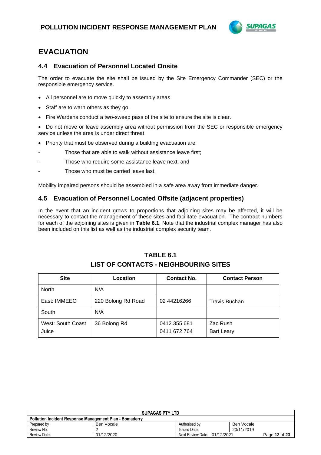

## **EVACUATION**

#### **4.4 Evacuation of Personnel Located Onsite**

The order to evacuate the site shall be issued by the Site Emergency Commander (SEC) or the responsible emergency service.

- All personnel are to move quickly to assembly areas
- Staff are to warn others as they go.
- Fire Wardens conduct a two-sweep pass of the site to ensure the site is clear.
- Do not move or leave assembly area without permission from the SEC or responsible emergency service unless the area is under direct threat.
- Priority that must be observed during a building evacuation are:
- Those that are able to walk without assistance leave first;
- Those who require some assistance leave next; and
- Those who must be carried leave last.

Mobility impaired persons should be assembled in a safe area away from immediate danger.

#### **4.5 Evacuation of Personnel Located Offsite (adjacent properties)**

In the event that an incident grows to proportions that adjoining sites may be affected, it will be necessary to contact the management of these sites and facilitate evacuation. The contract numbers for each of the adjoining sites is given in **Table 6.1**. Note that the industrial complex manager has also been included on this list as well as the industrial complex security team.

### **TABLE 6.1 LIST OF CONTACTS - NEIGHBOURING SITES**

| <b>Site</b>                | Location           | <b>Contact No.</b>           | <b>Contact Person</b>         |
|----------------------------|--------------------|------------------------------|-------------------------------|
| <b>North</b>               | N/A                |                              |                               |
| East: IMMEEC               | 220 Bolong Rd Road | 02 44216266                  | <b>Travis Buchan</b>          |
| South                      | N/A                |                              |                               |
| West: South Coast<br>Juice | 36 Bolong Rd       | 0412 355 681<br>0411 672 764 | Zac Rush<br><b>Bart Leary</b> |

| <b>SUPAGAS PTY LTD</b>                                         |            |                              |            |               |
|----------------------------------------------------------------|------------|------------------------------|------------|---------------|
| <b>Pollution Incident Response Management Plan - Bomaderry</b> |            |                              |            |               |
| Prepared by                                                    | Ben Vocale | Authorised by                | Ben Vocale |               |
| Review No:                                                     |            | <b>Issued Date:</b>          | 20/11/2019 |               |
| <b>Review Date:</b>                                            | 01/12/2020 | Next Review Date: 01/12/2021 |            | Page 12 of 23 |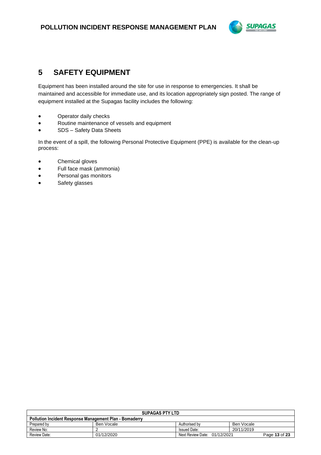

## **5 SAFETY EQUIPMENT**

Equipment has been installed around the site for use in response to emergencies. It shall be maintained and accessible for immediate use, and its location appropriately sign posted. The range of equipment installed at the Supagas facility includes the following:

- Operator daily checks
- Routine maintenance of vessels and equipment
- SDS Safety Data Sheets

In the event of a spill, the following Personal Protective Equipment (PPE) is available for the clean-up process:

- Chemical gloves
- Full face mask (ammonia)
- Personal gas monitors
- Safety glasses

| <b>SUPAGAS PTY LTD</b>                                         |            |                              |               |  |
|----------------------------------------------------------------|------------|------------------------------|---------------|--|
| <b>Pollution Incident Response Management Plan - Bomaderry</b> |            |                              |               |  |
| Prepared by                                                    | Ben Vocale | Authorised by                | Ben Vocale    |  |
| Review No:                                                     |            | <b>Issued Date:</b>          | 20/11/2019    |  |
| Review Date:                                                   | 01/12/2020 | Next Review Date: 01/12/2021 | Page 13 of 23 |  |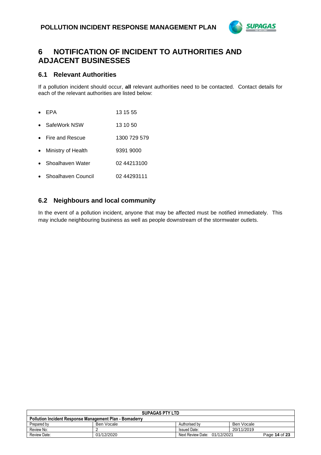

## **6 NOTIFICATION OF INCIDENT TO AUTHORITIES AND ADJACENT BUSINESSES**

#### **6.1 Relevant Authorities**

If a pollution incident should occur, **all** relevant authorities need to be contacted. Contact details for each of the relevant authorities are listed below:

- EPA 13 15 55
- SafeWork NSW 13 10 50
- Fire and Rescue 1300 729 579
- Ministry of Health 9391 9000
- Shoalhaven Water 02 44213100
- Shoalhaven Council 02 44293111

#### **6.2 Neighbours and local community**

In the event of a pollution incident, anyone that may be affected must be notified immediately. This may include neighbouring business as well as people downstream of the stormwater outlets.

| <b>SUPAGAS PTY LTD</b>                                         |            |                                 |            |               |
|----------------------------------------------------------------|------------|---------------------------------|------------|---------------|
| <b>Pollution Incident Response Management Plan - Bomaderry</b> |            |                                 |            |               |
| Prepared by                                                    | Ben Vocale | Authorised by                   | Ben Vocale |               |
| Review No:                                                     |            | <b>Issued Date:</b>             | 20/11/2019 |               |
| Review Date:                                                   | 01/12/2020 | Next Review Date:<br>01/12/2021 |            | Page 14 of 23 |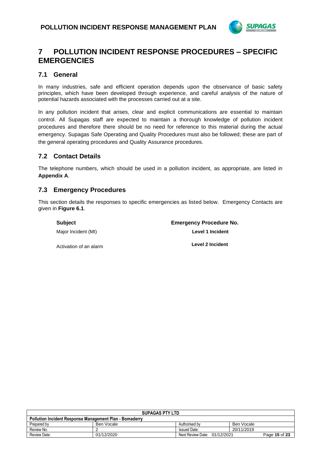

### **7 POLLUTION INCIDENT RESPONSE PROCEDURES – SPECIFIC EMERGENCIES**

#### **7.1 General**

In many industries, safe and efficient operation depends upon the observance of basic safety principles, which have been developed through experience, and careful analysis of the nature of potential hazards associated with the processes carried out at a site.

In any pollution incident that arises, clear and explicit communications are essential to maintain control. All Supagas staff are expected to maintain a thorough knowledge of pollution incident procedures and therefore there should be no need for reference to this material during the actual emergency. Supagas Safe Operating and Quality Procedures must also be followed; these are part of the general operating procedures and Quality Assurance procedures.

#### **7.2 Contact Details**

The telephone numbers, which should be used in a pollution incident, as appropriate, are listed in **Appendix A**.

#### **7.3 Emergency Procedures**

This section details the responses to specific emergencies as listed below. Emergency Contacts are given in **Figure 6.1**.

| Subject                | <b>Emergency Procedure No.</b> |
|------------------------|--------------------------------|
| Major Incident (MI)    | Level 1 Incident               |
| Activation of an alarm | Level 2 Incident               |

| <b>SUPAGAS PTY LTD</b>                                         |            |                              |            |               |
|----------------------------------------------------------------|------------|------------------------------|------------|---------------|
| <b>Pollution Incident Response Management Plan - Bomaderry</b> |            |                              |            |               |
| Prepared by                                                    | Ben Vocale | Authorised by                | Ben Vocale |               |
| Review No:                                                     |            | <b>Issued Date:</b>          | 20/11/2019 |               |
| Review Date:                                                   | 01/12/2020 | Next Review Date: 01/12/2021 |            | Page 15 of 23 |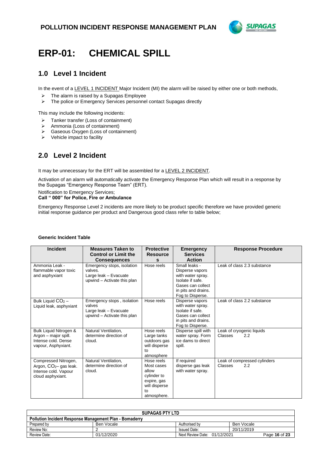

## **ERP-01: CHEMICAL SPILL**

### **1.0 Level 1 Incident**

In the event of a LEVEL 1 INCIDENT Major Incident (MI) the alarm will be raised by either one or both methods,

- $\triangleright$  The alarm is raised by a Supagas Employee
- ➢ The police or Emergency Services personnel contact Supagas directly

This may include the following incidents:

- ➢ Tanker transfer (Loss of containment)
- ➢ Ammonia (Loss of containment)
- ➢ Gaseous Oxygen (Loss of containment)
- $\triangleright$  Vehicle impact to facility

### **2.0 Level 2 Incident**

It may be unnecessary for the ERT will be assembled for a LEVEL 2 INCIDENT.

Activation of an alarm will automatically activate the Emergency Response Plan which will result in a response by the Supagas "Emergency Response Team" (ERT).

Notification to Emergency Services;

#### **Call " 000" for Police, Fire or Ambulance**

Emergency Response Level 2 incidents are more likely to be product specific therefore we have provided generic initial response guidance per product and Dangerous good class refer to table below;

| <b>Incident</b>                                                                                        | <b>Measures Taken to</b><br><b>Control or Limit the</b><br><b>Consequences</b>                | <b>Protective</b><br><b>Resource</b><br>S                                                                       | <b>Emergency</b><br><b>Services</b><br><b>Action</b>                                                                                      | <b>Response Procedure</b>                      |
|--------------------------------------------------------------------------------------------------------|-----------------------------------------------------------------------------------------------|-----------------------------------------------------------------------------------------------------------------|-------------------------------------------------------------------------------------------------------------------------------------------|------------------------------------------------|
| Ammonia Leak -<br>flammable vapor toxic<br>and asphyxiant                                              | Emergency stops, isolation<br>valves.<br>Large leak - Evacuate<br>upwind - Activate this plan | Hose reels                                                                                                      | Small leaks -<br>Disperse vapors<br>with water spray.<br>Isolate if safe.<br>Gases can collect<br>in pits and drains.<br>Fog to Disperse. | Leak of class 2.3 substance                    |
| Bulk Liquid $CO2$ –<br>Liquid leak, asphyxiant                                                         | Emergency stops, isolation<br>valves<br>Large leak - Evacuate<br>upwind - Activate this plan  | Hose reels                                                                                                      | Disperse vapors<br>with water spray.<br>Isolate if safe.<br>Gases can collect<br>in pits and drains.<br>Fog to Disperse.                  | Leak of class 2.2 substance                    |
| Bulk Liquid Nitrogen &<br>Argon - major spill.<br>Intense cold, Dense<br>vapour, Asphyxiant.           | Natural Ventilation,<br>determine direction of<br>cloud.                                      | Hose reels<br>Large tanks<br>outdoors gas<br>will disperse<br>to<br>atmosphere                                  | Disperse spill with<br>water spray. Form<br>ice dams to direct<br>spill.                                                                  | Leak of cryogenic liquids<br>2.2<br>Classes    |
| Compressed Nitrogen,<br>Argon, CO <sub>2</sub> -gas leak.<br>Intense cold. Vapour<br>cloud asphyxiant. | Natural Ventilation.<br>determine direction of<br>cloud.                                      | Hose reels<br>Most cases<br>allow<br>cylinder to<br>expire, gas<br>will disperse<br>$t_{\Omega}$<br>atmosphere. | If required<br>disperse gas leak<br>with water spray.                                                                                     | Leak of compressed cylinders<br>2.2<br>Classes |

#### **Generic Incident Table**

| <b>SUPAGAS PTY LTD</b>                                         |            |                              |            |               |
|----------------------------------------------------------------|------------|------------------------------|------------|---------------|
| <b>Pollution Incident Response Management Plan - Bomaderry</b> |            |                              |            |               |
| Prepared by                                                    | Ben Vocale | Authorised by                | Ben Vocale |               |
| Review No:                                                     |            | <b>Issued Date:</b>          | 20/11/2019 |               |
| Review Date:                                                   | 01/12/2020 | Next Review Date: 01/12/2021 |            | Page 16 of 23 |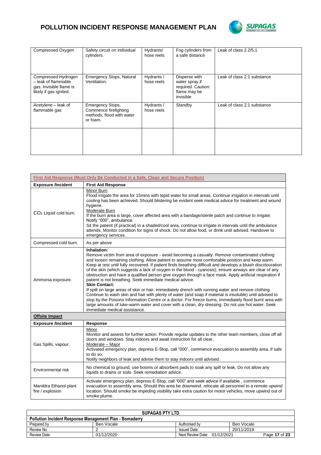## **POLLUTION INCIDENT RESPONSE MANAGEMENT PLAN**



| Compressed Oxygen                                                                               | Safety circuit on individual<br>cylinders.                                                | Hydrants/<br>hose reels  | Fog cylinders from<br>a safe distance                                              | Leak of class 2.2/5.1       |
|-------------------------------------------------------------------------------------------------|-------------------------------------------------------------------------------------------|--------------------------|------------------------------------------------------------------------------------|-----------------------------|
| Compressed Hydrogen<br>- leak of flammable<br>gas. Invisible flame is<br>likely if gas ignited. | Emergency Stops, Natural<br>Ventilation.                                                  | Hydrants /<br>hose reels | Disperse with<br>water spray if<br>required. Caution:<br>flame may be<br>invisible | Leak of class 2.1 substance |
| Acetylene – leak of<br>flammable gas                                                            | <b>Emergency Stops,</b><br>Commence firefighting<br>methods, flood with water<br>or foam. | Hydrants /<br>hose reels | Standby                                                                            | Leak of class 2.1 substance |
|                                                                                                 |                                                                                           |                          |                                                                                    |                             |

|                                            | First Aid Response (Must Only Be Conducted in a Safe, Clean and Secure Position)                                                                                                                                                                                                                                                                                                                                                                                                                                                                                                                                                                                                                                                                                                                                                                                                                                                                                                                                                                                                                               |
|--------------------------------------------|----------------------------------------------------------------------------------------------------------------------------------------------------------------------------------------------------------------------------------------------------------------------------------------------------------------------------------------------------------------------------------------------------------------------------------------------------------------------------------------------------------------------------------------------------------------------------------------------------------------------------------------------------------------------------------------------------------------------------------------------------------------------------------------------------------------------------------------------------------------------------------------------------------------------------------------------------------------------------------------------------------------------------------------------------------------------------------------------------------------|
| <b>Exposure /Incident</b>                  | <b>First Aid Response</b>                                                                                                                                                                                                                                                                                                                                                                                                                                                                                                                                                                                                                                                                                                                                                                                                                                                                                                                                                                                                                                                                                      |
| CO <sub>2</sub> Liquid cold burn.          | Minor Burn<br>Flood irrigate the area for 15 mins with tepid water for small areas. Continue irrigation in intervals until<br>cooling has been achieved. Should blistering be evident seek medical advice for treatment and wound<br>hygiene.<br>Moderate Burn<br>If the burn area is large, cover affected area with a bandage/sterile patch and continue to irrigate.<br>Notify "000", ambulance.<br>Sit the patient (if practical) in a shaded/cool area, continue to irrigate in intervals until the ambulance<br>attends. Monitor condition for signs of shock. Do not allow food, or drink until advised. Handover to<br>emergency services.                                                                                                                                                                                                                                                                                                                                                                                                                                                             |
| Compressed cold burn.                      | As per above                                                                                                                                                                                                                                                                                                                                                                                                                                                                                                                                                                                                                                                                                                                                                                                                                                                                                                                                                                                                                                                                                                   |
| Ammonia exposure.                          | Inhalation:<br>Remove victim from area of exposure - avoid becoming a casualty. Remove contaminated clothing<br>and loosen remaining clothing. Allow patient to assume most comfortable position and keep warm.<br>Keep at rest until fully recovered. If patient finds breathing difficult and develops a bluish discolouration<br>of the skin (which suggests a lack of oxygen in the blood - cyanosis), ensure airways are clear of any<br>obstruction and have a qualified person give oxygen through a face mask. Apply artificial respiration if<br>patient is not breathing. Seek immediate medical advice.<br><b>Skin Contact:</b><br>If spilt on large areas of skin or hair, immediately drench with running water and remove clothing.<br>Continue to wash skin and hair with plenty of water (and soap if material is insoluble) until advised to<br>stop by the Poisons Information Centre or a doctor. For freeze burns, immediately flood burnt area with<br>large amounts of luke-warm water and cover with a clean, dry dressing. Do not use hot water. Seek<br>immediate medical assistance. |
| <b>Offsite Impact</b>                      |                                                                                                                                                                                                                                                                                                                                                                                                                                                                                                                                                                                                                                                                                                                                                                                                                                                                                                                                                                                                                                                                                                                |
| <b>Exposure /Incident</b>                  | <b>Response</b>                                                                                                                                                                                                                                                                                                                                                                                                                                                                                                                                                                                                                                                                                                                                                                                                                                                                                                                                                                                                                                                                                                |
| Gas Spills, vapour,                        | Minor<br>Monitor and assess for further action. Provide regular updates to the other team members, close off all<br>doors and windows. Stay indoors and await instruction for all clear.<br>Moderate - Major<br>Activated emergency plan, depress E-Stop, call "000", commence evacuation to assembly area, if safe<br>to do so.<br>Notify neighbors of leak and advise them to stay indoors until advised.                                                                                                                                                                                                                                                                                                                                                                                                                                                                                                                                                                                                                                                                                                    |
| Environmental risk                         | No chemical to ground, use booms or absorbent pads to soak any spill or leak. Do not allow any<br>liquids to drains or soils. Seek remediation advice.                                                                                                                                                                                                                                                                                                                                                                                                                                                                                                                                                                                                                                                                                                                                                                                                                                                                                                                                                         |
| Manildra Ethanol plant<br>fire / explosion | Activate emergency plan, depress E-Stop, call "000" and seek advice if available, commence<br>evacuation to assembly area. Should this area be downwind, relocate all personnel to a remote upwind<br>location. Should smoke be impeding visibility take extra caution for motor vehicles, move upwind out of<br>smoke plume.                                                                                                                                                                                                                                                                                                                                                                                                                                                                                                                                                                                                                                                                                                                                                                                  |

| <b>SUPAGAS PTY LTD</b>                                         |            |                              |               |  |
|----------------------------------------------------------------|------------|------------------------------|---------------|--|
| <b>Pollution Incident Response Management Plan - Bomaderry</b> |            |                              |               |  |
| Prepared by                                                    | Ben Vocale | Authorised by                | Ben Vocale    |  |
| Review No:                                                     |            | <b>Issued Date:</b>          | 20/11/2019    |  |
| Review Date:                                                   | 01/12/2020 | Next Review Date: 01/12/2021 | Page 17 of 23 |  |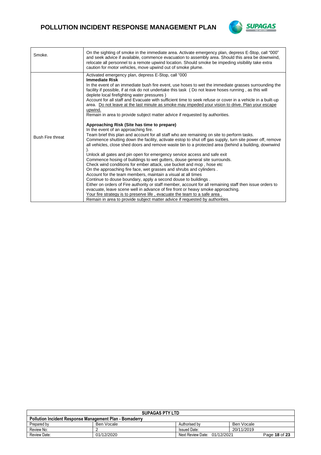## **POLLUTION INCIDENT RESPONSE MANAGEMENT PLAN**



| Smoke.                  | "000" On the sighting of smoke in the immediate area. Activate emergency plan, depress E-Stop, call<br>and seek advice if available, commence evacuation to assembly area. Should this area be downwind,<br>relocate all personnel to a remote upwind location. Should smoke be impeding visibility take extra<br>caution for motor vehicles, move upwind out of smoke plume.                                                                                                                                                                                                                                                                                                                                                                                                                                                                                                                                                                                                                                                                                                                                                                                                                                                                                                                                                                                                                                                                                                                                                                                                                                                                                                                                                                                                                                                                                             |
|-------------------------|---------------------------------------------------------------------------------------------------------------------------------------------------------------------------------------------------------------------------------------------------------------------------------------------------------------------------------------------------------------------------------------------------------------------------------------------------------------------------------------------------------------------------------------------------------------------------------------------------------------------------------------------------------------------------------------------------------------------------------------------------------------------------------------------------------------------------------------------------------------------------------------------------------------------------------------------------------------------------------------------------------------------------------------------------------------------------------------------------------------------------------------------------------------------------------------------------------------------------------------------------------------------------------------------------------------------------------------------------------------------------------------------------------------------------------------------------------------------------------------------------------------------------------------------------------------------------------------------------------------------------------------------------------------------------------------------------------------------------------------------------------------------------------------------------------------------------------------------------------------------------|
| <b>Bush Fire threat</b> | Activated emergency plan, depress E-Stop, call "000<br><b>Immediate Risk</b><br>In the event of an immediate bush fire event, use hoses to wet the immediate grasses surrounding the<br>facility if possible, if at risk do not undertake this task (Do not leave hoses running, as this will<br>deplete local firefighting water pressures)<br>Account for all staff and Evacuate with sufficient time to seek refuse or cover in a vehicle in a built-up<br>area. Do not leave at the last minute as smoke may impeded your vision to drive. Plan your escape<br>upwind.<br>Remain in area to provide subject matter advice if requested by authorities.<br>Approaching Risk (Site has time to prepare)<br>In the event of an approaching fire.<br>Team brief this plan and account for all staff who are remaining on site to perform tasks.<br>Commence shutting down the facility, activate estop to shut off gas supply, turn site power off, remove<br>all vehicles, close shed doors and remove waste bin to a protected area (behind a building, downwind<br>Unlock all gates and pin open for emergency service access and safe exit<br>Commence hosing of buildings to wet gutters, douse general site surrounds.<br>Check wind conditions for ember attack, use bucket and mop, hose etc<br>On the approaching fire face, wet grasses and shrubs and cylinders.<br>Account for the team members, maintain a visual at all times<br>Continue to douse boundary, apply a second douse to buildings.<br>Either on orders of Fire authority or staff member, account for all remaining staff then issue orders to<br>evacuate, leave scene well in advance of fire front or heavy smoke approaching.<br>Your fire strategy is to preserve life, evacuate the team to a safe area.<br>Remain in area to provide subject matter advice if requested by authorities. |

| <b>SUPAGAS PTY LTD</b>                                         |            |                              |               |  |
|----------------------------------------------------------------|------------|------------------------------|---------------|--|
| <b>Pollution Incident Response Management Plan - Bomaderry</b> |            |                              |               |  |
| Prepared by                                                    | Ben Vocale | Authorised by                | Ben Vocale    |  |
| Review No:                                                     |            | <b>Issued Date:</b>          | 20/11/2019    |  |
| Review Date:                                                   | 01/12/2020 | Next Review Date: 01/12/2021 | Page 18 of 23 |  |
|                                                                |            |                              |               |  |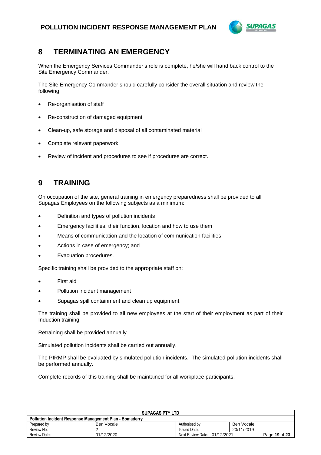

## **8 TERMINATING AN EMERGENCY**

When the Emergency Services Commander's role is complete, he/she will hand back control to the Site Emergency Commander.

The Site Emergency Commander should carefully consider the overall situation and review the following

- Re-organisation of staff
- Re-construction of damaged equipment
- Clean-up, safe storage and disposal of all contaminated material
- Complete relevant paperwork
- Review of incident and procedures to see if procedures are correct.

## **9 TRAINING**

On occupation of the site, general training in emergency preparedness shall be provided to all Supagas Employees on the following subjects as a minimum:

- Definition and types of pollution incidents
- Emergency facilities, their function, location and how to use them
- Means of communication and the location of communication facilities
- Actions in case of emergency; and
- Evacuation procedures.

Specific training shall be provided to the appropriate staff on:

- First aid
- Pollution incident management
- Supagas spill containment and clean up equipment.

The training shall be provided to all new employees at the start of their employment as part of their Induction training.

Retraining shall be provided annually.

Simulated pollution incidents shall be carried out annually.

The PIRMP shall be evaluated by simulated pollution incidents. The simulated pollution incidents shall be performed annually.

Complete records of this training shall be maintained for all workplace participants.

| <b>SUPAGAS PTY LTD</b>                                         |            |                              |            |               |
|----------------------------------------------------------------|------------|------------------------------|------------|---------------|
| <b>Pollution Incident Response Management Plan - Bomaderry</b> |            |                              |            |               |
| Prepared by                                                    | Ben Vocale | Authorised by                | Ben Vocale |               |
| Review No:                                                     |            | <b>Issued Date:</b>          | 20/11/2019 |               |
| Review Date:                                                   | 01/12/2020 | Next Review Date: 01/12/2021 |            | Page 19 of 23 |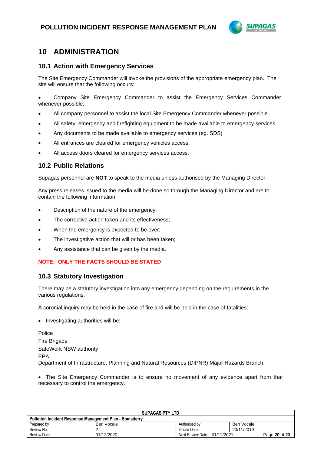

## **10 ADMINISTRATION**

#### **10.1 Action with Emergency Services**

The Site Emergency Commander will invoke the provisions of the appropriate emergency plan. The site will ensure that the following occurs:

• Company Site Emergency Commander to assist the Emergency Services Commander whenever possible.

- All company personnel to assist the local Site Emergency Commander whenever possible.
- All safety, emergency and firefighting equipment to be made available to emergency services.
- Any documents to be made available to emergency services (eg. SDS)
- All entrances are cleared for emergency vehicles access.
- All access doors cleared for emergency services access.

#### **10.2 Public Relations**

Supagas personnel are **NOT** to speak to the media unless authorised by the Managing Director.

Any press releases issued to the media will be done so through the Managing Director and are to contain the following information.

- Description of the nature of the emergency;
- The corrective action taken and its effectiveness;
- When the emergency is expected to be over;
- The investigative action that will or has been taken;
- Any assistance that can be given by the media.

#### **NOTE: ONLY THE FACTS SHOULD BE STATED**

#### **10.3 Statutory Investigation**

There may be a statutory investigation into any emergency depending on the requirements in the various regulations.

A coronial inquiry may be held in the case of fire and will be held in the case of fatalities:

• Investigating authorities will be:

Police Fire Brigade SafeWork NSW authority EPA Department of Infrastructure, Planning and Natural Resources (DIPNR) Major Hazards Branch.

• The Site Emergency Commander is to ensure no movement of any evidence apart from that necessary to control the emergency.

| <b>SUPAGAS PTY LTD</b>                                         |            |                              |               |  |  |
|----------------------------------------------------------------|------------|------------------------------|---------------|--|--|
| <b>Pollution Incident Response Management Plan - Bomaderry</b> |            |                              |               |  |  |
| Prepared by                                                    | Ben Vocale | Authorised by                | Ben Vocale    |  |  |
| Review No:                                                     |            | <b>Issued Date:</b>          | 20/11/2019    |  |  |
| Review Date:                                                   | 01/12/2020 | Next Review Date: 01/12/2021 | Page 20 of 23 |  |  |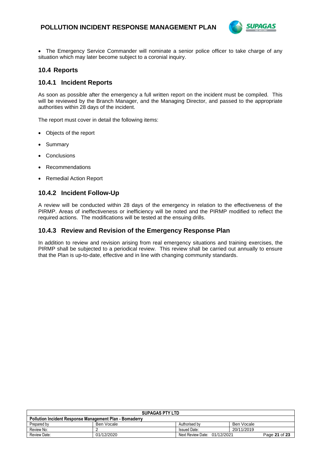

• The Emergency Service Commander will nominate a senior police officer to take charge of any situation which may later become subject to a coronial inquiry.

#### **10.4 Reports**

#### **10.4.1 Incident Reports**

As soon as possible after the emergency a full written report on the incident must be compiled. This will be reviewed by the Branch Manager, and the Managing Director, and passed to the appropriate authorities within 28 days of the incident.

The report must cover in detail the following items:

- Objects of the report
- **Summary**
- **Conclusions**
- **Recommendations**
- Remedial Action Report

#### **10.4.2 Incident Follow-Up**

A review will be conducted within 28 days of the emergency in relation to the effectiveness of the PIRMP. Areas of ineffectiveness or inefficiency will be noted and the PIRMP modified to reflect the required actions. The modifications will be tested at the ensuing drills.

#### **10.4.3 Review and Revision of the Emergency Response Plan**

In addition to review and revision arising from real emergency situations and training exercises, the PIRMP shall be subjected to a periodical review. This review shall be carried out annually to ensure that the Plan is up-to-date, effective and in line with changing community standards.

| <b>SUPAGAS PTY LTD</b>                                         |            |                              |               |  |  |
|----------------------------------------------------------------|------------|------------------------------|---------------|--|--|
| <b>Pollution Incident Response Management Plan - Bomaderry</b> |            |                              |               |  |  |
| Prepared by                                                    | Ben Vocale | Authorised by                | Ben Vocale    |  |  |
| Review No:                                                     |            | <b>Issued Date:</b>          | 20/11/2019    |  |  |
| Review Date:                                                   | 01/12/2020 | Next Review Date: 01/12/2021 | Page 21 of 23 |  |  |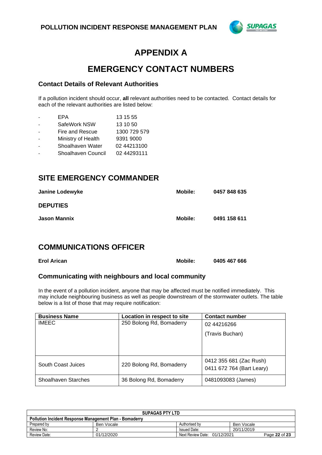

## **APPENDIX A**

## **EMERGENCY CONTACT NUMBERS**

#### **Contact Details of Relevant Authorities**

If a pollution incident should occur, **all** relevant authorities need to be contacted. Contact details for each of the relevant authorities are listed below:

- EPA 13 15 55
- SafeWork NSW 13 10 50
- Fire and Rescue 1300 729 579
- Ministry of Health 9391 9000
- Shoalhaven Water 02 44213100
- Shoalhaven Council 02 44293111

### **SITE EMERGENCY COMMANDER**

| <b>Janine Lodewyke</b> | Mobile: | 0457 848 635 |
|------------------------|---------|--------------|
| <b>DEPUTIES</b>        |         |              |
| <b>Jason Mannix</b>    | Mobile: | 0491 158 611 |

## **COMMUNICATIONS OFFICER**

| <b>Erol Arican</b> | <b>Mobile:</b> | 0405 467 666 |
|--------------------|----------------|--------------|
|                    |                |              |

#### **Communicating with neighbours and local community**

In the event of a pollution incident, anyone that may be affected must be notified immediately. This may include neighbouring business as well as people downstream of the stormwater outlets. The table below is a list of those that may require notification:

| <b>Business Name</b> | Location in respect to site | <b>Contact number</b>     |
|----------------------|-----------------------------|---------------------------|
| <b>IMEEC</b>         | 250 Bolong Rd, Bomaderry    | 02 44216266               |
|                      |                             | (Travis Buchan)           |
|                      |                             |                           |
|                      |                             |                           |
| South Coast Juices   | 220 Bolong Rd, Bomaderry    | 0412 355 681 (Zac Rush)   |
|                      |                             | 0411 672 764 (Bart Leary) |
| Shoalhaven Starches  | 36 Bolong Rd, Bomaderry     | 0481093083 (James)        |

| <b>SUPAGAS PTY LTD</b>                                         |            |                              |               |  |
|----------------------------------------------------------------|------------|------------------------------|---------------|--|
| <b>Pollution Incident Response Management Plan - Bomaderry</b> |            |                              |               |  |
| Prepared by                                                    | Ben Vocale | Authorised by                | Ben Vocale    |  |
| Review No:                                                     |            | <b>Issued Date:</b>          | 20/11/2019    |  |
| Review Date:                                                   | 01/12/2020 | Next Review Date: 01/12/2021 | Page 22 of 23 |  |